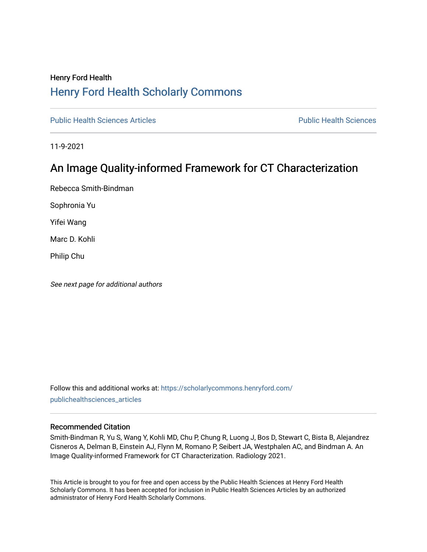### Henry Ford Health [Henry Ford Health Scholarly Commons](https://scholarlycommons.henryford.com/)

[Public Health Sciences Articles](https://scholarlycommons.henryford.com/publichealthsciences_articles) [Public Health Sciences](https://scholarlycommons.henryford.com/publichealthsciences) 

11-9-2021

## An Image Quality-informed Framework for CT Characterization

Rebecca Smith-Bindman

Sophronia Yu

Yifei Wang

Marc D. Kohli

Philip Chu

See next page for additional authors

Follow this and additional works at: [https://scholarlycommons.henryford.com/](https://scholarlycommons.henryford.com/publichealthsciences_articles?utm_source=scholarlycommons.henryford.com%2Fpublichealthsciences_articles%2F286&utm_medium=PDF&utm_campaign=PDFCoverPages) [publichealthsciences\\_articles](https://scholarlycommons.henryford.com/publichealthsciences_articles?utm_source=scholarlycommons.henryford.com%2Fpublichealthsciences_articles%2F286&utm_medium=PDF&utm_campaign=PDFCoverPages) 

#### Recommended Citation

Smith-Bindman R, Yu S, Wang Y, Kohli MD, Chu P, Chung R, Luong J, Bos D, Stewart C, Bista B, Alejandrez Cisneros A, Delman B, Einstein AJ, Flynn M, Romano P, Seibert JA, Westphalen AC, and Bindman A. An Image Quality-informed Framework for CT Characterization. Radiology 2021.

This Article is brought to you for free and open access by the Public Health Sciences at Henry Ford Health Scholarly Commons. It has been accepted for inclusion in Public Health Sciences Articles by an authorized administrator of Henry Ford Health Scholarly Commons.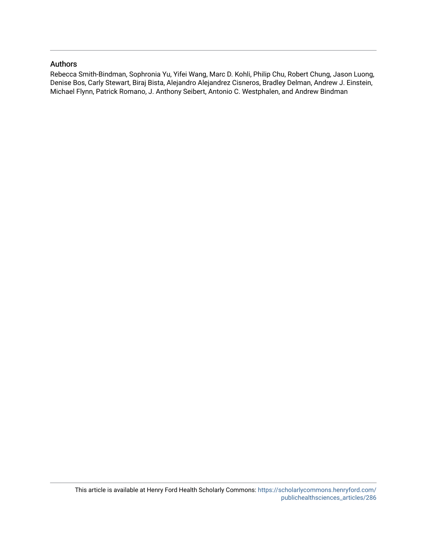#### Authors

Rebecca Smith-Bindman, Sophronia Yu, Yifei Wang, Marc D. Kohli, Philip Chu, Robert Chung, Jason Luong, Denise Bos, Carly Stewart, Biraj Bista, Alejandro Alejandrez Cisneros, Bradley Delman, Andrew J. Einstein, Michael Flynn, Patrick Romano, J. Anthony Seibert, Antonio C. Westphalen, and Andrew Bindman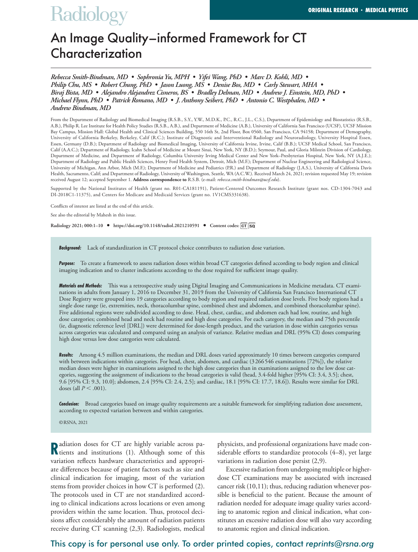# **Radiology**

## An Image Quality–informed Framework for CT **Characterization**

*Rebecca Smith-Bindman, MD • Sophronia Yu, MPH • Yifei Wang, PhD • Marc D. Kohli, MD • Philip Chu, MS • Robert Chung, PhD • Jason Luong, MS • Denise Bos, MD • Carly Stewart, MHA • Biraj Bista, MD • Alejandro Alejandrez Cisneros, BS • Bradley Delman, MD • Andrew J. Einstein, MD, PhD • Michael Flynn, PhD • Patrick Romano, MD • J. Anthony Seibert, PhD • Antonio C. Westphalen, MD • Andrew Bindman, MD*

From the Department of Radiology and Biomedical Imaging (R.S.B., S.Y., Y.W., M.D.K., P.C., R.C., J.L., C.S.), Department of Epidemiology and Biostatistics (R.S.B., A.B.), Philip R. Lee Institute for Health Policy Studies (R.S.B., A.B.), and Department of Medicine (A.B.), University of California San Francisco (UCSF), UCSF Mission Bay Campus, Mission Hall: Global Health and Clinical Sciences Building, 550 16th St, 2nd Floor, Box 0560, San Francisco, CA 94158; Department of Demography, University of California Berkeley, Berkeley, Calif (R.C.); Institute of Diagnostic and Interventional Radiology and Neuroradiology, University Hospital Essen, Essen, Germany (D.B.); Department of Radiology and Biomedical Imaging, University of California Irvine, Irvine, Calif (B.B.); UCSF Medical School, San Francisco, Calif (A.A.C.); Department of Radiology, Icahn School of Medicine at Mount Sinai, New York, NY (B.D.); Seymour, Paul, and Gloria Milstein Division of Cardiology, Department of Medicine, and Department of Radiology, Columbia University Irving Medical Center and New York–Presbyterian Hospital, New York, NY (A.J.E.); Department of Radiology and Public Health Sciences, Henry Ford Health System, Detroit, Mich (M.F.); Department of Nuclear Engineering and Radiological Science, University of Michigan, Ann Arbor, Mich (M.F.); Department of Medicine and Pediatrics (P.R.) and Department of Radiology (J.A.S.), University of California Davis Health, Sacramento, Calif; and Department of Radiology, University of Washington, Seattle, WA (A.C.W.). Received March 24, 2021; revision requested May 19; revision received August 12; accepted September 1. **Address correspondence to** R.S.B. (e-mail: *rebecca.smith-bindman@ucsf.edu*).

Supported by the National Institutes of Health (grant no. R01-CA181191), Patient-Centered Outcomes Research Institute (grant nos. CD-1304-7043 and DI-2018C1-11375), and Centers for Medicare and Medicaid Services (grant no. 1V1CMS331638).

Conflicts of interest are listed at the end of this article.

See also the editorial by Mahesh in this issue.

**Radiology 2021; 000:1–10 • https://doi.org/10.1148/radiol.2021210591 • Content codes:** 

*Background:* Lack of standardization in CT protocol choice contributes to radiation dose variation.

*Purpose:* To create a framework to assess radiation doses within broad CT categories defined according to body region and clinical imaging indication and to cluster indications according to the dose required for sufficient image quality.

*Materials and Methods:* This was a retrospective study using Digital Imaging and Communications in Medicine metadata. CT examinations in adults from January 1, 2016 to December 31, 2019 from the University of California San Francisco International CT Dose Registry were grouped into 19 categories according to body region and required radiation dose levels. Five body regions had a single dose range (ie, extremities, neck, thoracolumbar spine, combined chest and abdomen, and combined thoracolumbar spine). Five additional regions were subdivided according to dose. Head, chest, cardiac, and abdomen each had low, routine, and high dose categories; combined head and neck had routine and high dose categories. For each category, the median and 75th percentile (ie, diagnostic reference level [DRL]) were determined for dose-length product, and the variation in dose within categories versus across categories was calculated and compared using an analysis of variance. Relative median and DRL (95% CI) doses comparing high dose versus low dose categories were calculated.

*Results:* Among 4.5 million examinations, the median and DRL doses varied approximately 10 times between categories compared with between indications within categories. For head, chest, abdomen, and cardiac (3266546 examinations [72%]), the relative median doses were higher in examinations assigned to the high dose categories than in examinations assigned to the low dose categories, suggesting the assignment of indications to the broad categories is valid (head, 3.4-fold higher [95% CI: 3.4, 3.5]; chest, 9.6 [95% CI: 9.3, 10.0]; abdomen, 2.4 [95% CI: 2.4, 2.5]; and cardiac, 18.1 [95% CI: 17.7, 18.6]). Results were similar for DRL doses (all  $P < .001$ ).

*Conclusion:* Broad categories based on image quality requirements are a suitable framework for simplifying radiation dose assessment, according to expected variation between and within categories.

©RSNA, 2021

**R** adiation doses for CT are highly variable across pa-<br>**R** tients and institutions (1). Although some of this tients and institutions (1). Although some of this variation reflects hardware characteristics and appropriate differences because of patient factors such as size and clinical indication for imaging, most of the variation stems from provider choices in how CT is performed (2). The protocols used in CT are not standardized according to clinical indications across locations or even among providers within the same location. Thus, protocol decisions affect considerably the amount of radiation patients receive during CT scanning (2,3). Radiologists, medical

physicists, and professional organizations have made considerable efforts to standardize protocols (4–8), yet large variations in radiation dose persist (2,9).

Excessive radiation from undergoing multiple or higherdose CT examinations may be associated with increased cancer risk (10,11); thus, reducing radiation whenever possible is beneficial to the patient. Because the amount of radiation needed for adequate image quality varies according to anatomic region and clinical indication, what constitutes an excessive radiation dose will also vary according to anatomic region and clinical indication.

#### This copy is for personal use only. To order printed copies, contact *reprints@rsna.org*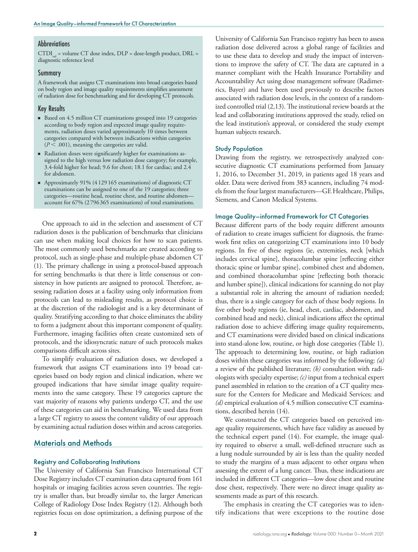#### **Abbreviations**

 $CTDI<sub>vol</sub>$  = volume CT dose index,  $DLP =$  dose-length product,  $DRL =$ diagnostic reference level

#### Summary

A framework that assigns CT examinations into broad categories based on body region and image quality requirements simplifies assessment of radiation dose for benchmarking and for developing CT protocols.

#### Key Results

- Based on 4.5 million CT examinations grouped into 19 categories according to body region and expected image quality requirements, radiation doses varied approximately 10 times between categories compared with between indications within categories  $(P < .001)$ , meaning the categories are valid.
- Radiation doses were significantly higher for examinations assigned to the high versus low radiation dose category; for example, 3.4-fold higher for head; 9.6 for chest; 18.1 for cardiac; and 2.4 for abdomen.
- $\blacksquare$  Approximately 91% (4 129 165 examinations) of diagnostic CT examinations can be assigned to one of the 19 categories; three categories—routine head, routine chest, and routine abdomen account for 67% (2 796 365 examinations) of total examinations.

One approach to aid in the selection and assessment of CT radiation doses is the publication of benchmarks that clinicians can use when making local choices for how to scan patients. The most commonly used benchmarks are created according to protocol, such as single-phase and multiple-phase abdomen CT (1). The primary challenge in using a protocol-based approach for setting benchmarks is that there is little consensus or consistency in how patients are assigned to protocol. Therefore, assessing radiation doses at a facility using only information from protocols can lead to misleading results, as protocol choice is at the discretion of the radiologist and is a key determinant of quality. Stratifying according to that choice eliminates the ability to form a judgment about this important component of quality. Furthermore, imaging facilities often create customized sets of protocols, and the idiosyncratic nature of such protocols makes comparisons difficult across sites.

To simplify evaluation of radiation doses, we developed a framework that assigns CT examinations into 19 broad categories based on body region and clinical indication, where we grouped indications that have similar image quality requirements into the same category. These 19 categories capture the vast majority of reasons why patients undergo CT, and the use of these categories can aid in benchmarking. We used data from a large CT registry to assess the content validity of our approach by examining actual radiation doses within and across categories.

#### Materials and Methods

#### Registry and Collaborating Institutions

The University of California San Francisco International CT Dose Registry includes CT examination data captured from 161 hospitals or imaging facilities across seven countries. The registry is smaller than, but broadly similar to, the larger American College of Radiology Dose Index Registry (12). Although both registries focus on dose optimization, a defining purpose of the

University of California San Francisco registry has been to assess radiation dose delivered across a global range of facilities and to use these data to develop and study the impact of interventions to improve the safety of CT. The data are captured in a manner compliant with the Health Insurance Portability and Accountability Act using dose management software (Radimetrics, Bayer) and have been used previously to describe factors associated with radiation dose levels, in the context of a randomized controlled trial (2,13). The institutional review boards at the lead and collaborating institutions approved the study, relied on the lead institution's approval, or considered the study exempt human subjects research.

#### Study Population

Drawing from the registry, we retrospectively analyzed consecutive diagnostic CT examinations performed from January 1, 2016, to December 31, 2019, in patients aged 18 years and older. Data were derived from 383 scanners, including 74 models from the four largest manufacturers—GE Healthcare, Philips, Siemens, and Canon Medical Systems.

#### Image Quality–informed Framework for CT Categories

Because different parts of the body require different amounts of radiation to create images sufficient for diagnosis, the framework first relies on categorizing CT examinations into 10 body regions. In five of these regions (ie, extremities, neck [which includes cervical spine], thoracolumbar spine [reflecting either thoracic spine or lumbar spine], combined chest and abdomen, and combined thoracolumbar spine [reflecting both thoracic and lumber spine]), clinical indications for scanning do not play a substantial role in altering the amount of radiation needed; thus, there is a single category for each of these body regions. In five other body regions (ie, head, chest, cardiac, abdomen, and combined head and neck), clinical indications affect the optimal radiation dose to achieve differing image quality requirements, and CT examinations were divided based on clinical indications into stand-alone low, routine, or high dose categories (Table 1). The approach to determining low, routine, or high radiation doses within these categories was informed by the following: *(a)* a review of the published literature; *(b)* consultation with radiologists with specialty expertise; *(c)* input from a technical expert panel assembled in relation to the creation of a CT quality measure for the Centers for Medicare and Medicaid Services; and *(d)* empirical evaluation of 4.5 million consecutive CT examinations, described herein (14).

We constructed the CT categories based on perceived image quality requirements, which have face validity as assessed by the technical expert panel (14). For example, the image quality required to observe a small, well-defined structure such as a lung nodule surrounded by air is less than the quality needed to study the margins of a mass adjacent to other organs when assessing the extent of a lung cancer. Thus, these indications are included in different CT categories—low dose chest and routine dose chest, respectively. There were no direct image quality assessments made as part of this research.

The emphasis in creating the CT categories was to identify indications that were exceptions to the routine dose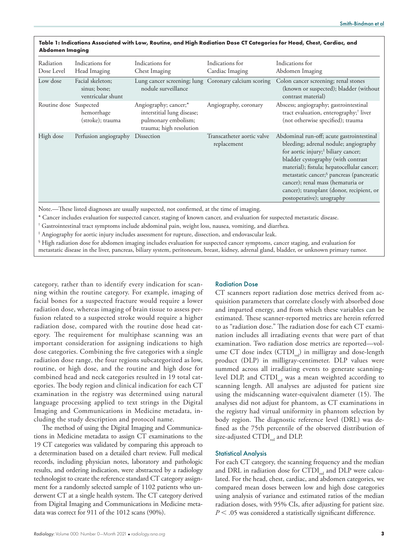| Radiation<br>Dose Level | Indications for<br>Head Imaging                       | Indications for<br>Chest Imaging                                                                      | Indications for<br>Cardiac Imaging        | Indications for<br>Abdomen Imaging                                                                                                                                                                                                                                                                                                                                                               |
|-------------------------|-------------------------------------------------------|-------------------------------------------------------------------------------------------------------|-------------------------------------------|--------------------------------------------------------------------------------------------------------------------------------------------------------------------------------------------------------------------------------------------------------------------------------------------------------------------------------------------------------------------------------------------------|
| Low dose                | Facial skeleton;<br>sinus; bone;<br>ventricular shunt | Lung cancer screening; lung Coronary calcium scoring<br>nodule surveillance                           |                                           | Colon cancer screening; renal stones<br>(known or suspected); bladder (without<br>contrast material)                                                                                                                                                                                                                                                                                             |
| Routine dose Suspected  | hemorrhage<br>(stroke); trauma                        | Angiography; cancer;*<br>interstitial lung disease;<br>pulmonary embolism;<br>trauma; high resolution | Angiography, coronary                     | Abscess; angiography; gastrointestinal<br>tract evaluation, enterography; <sup>†</sup> liver<br>(not otherwise specified); trauma                                                                                                                                                                                                                                                                |
| High dose               | Perfusion angiography                                 | Dissection                                                                                            | Transcatheter aortic valve<br>replacement | Abdominal run-off; acute gastrointestinal<br>bleeding; adrenal nodule; angiography<br>for aortic injury; <sup>#</sup> biliary cancer;<br>bladder cystography (with contrast<br>material); fistula; hepatocellular cancer;<br>metastatic cancer; <sup>§</sup> pancreas (pancreatic<br>cancer); renal mass (hematuria or<br>cancer); transplant (donor, recipient, or<br>postoperative); urography |

| Table 1: Indications Associated with Low, Routine, and High Radiation Dose CT Categories for Head, Chest, Cardiac, and |  |
|------------------------------------------------------------------------------------------------------------------------|--|
| Abdomen Imaging                                                                                                        |  |

Note.—These listed diagnoses are usually suspected, not confirmed, at the time of imaging.

\* Cancer includes evaluation for suspected cancer, staging of known cancer, and evaluation for suspected metastatic disease.

† Gastrointestinal tract symptoms include abdominal pain, weight loss, nausea, vomiting, and diarrhea.

‡ Angiography for aortic injury includes assessment for rupture, dissection, and endovascular leak.

§ High radiation dose for abdomen imaging includes evaluation for suspected cancer symptoms, cancer staging, and evaluation for metastatic disease in the liver, pancreas, biliary system, peritoneum, breast, kidney, adrenal gland, bladder, or unknown primary tumor.

category, rather than to identify every indication for scanning within the routine category. For example, imaging of facial bones for a suspected fracture would require a lower radiation dose, whereas imaging of brain tissue to assess perfusion related to a suspected stroke would require a higher radiation dose, compared with the routine dose head category. The requirement for multiphase scanning was an important consideration for assigning indications to high dose categories. Combining the five categories with a single radiation dose range, the four regions subcategorized as low, routine, or high dose, and the routine and high dose for combined head and neck categories resulted in 19 total categories. The body region and clinical indication for each CT examination in the registry was determined using natural language processing applied to text strings in the Digital Imaging and Communications in Medicine metadata, including the study description and protocol name.

The method of using the Digital Imaging and Communications in Medicine metadata to assign CT examinations to the 19 CT categories was validated by comparing this approach to a determination based on a detailed chart review. Full medical records, including physician notes, laboratory and pathologic results, and ordering indication, were abstracted by a radiology technologist to create the reference standard CT category assignment for a randomly selected sample of 1102 patients who underwent CT at a single health system. The CT category derived from Digital Imaging and Communications in Medicine metadata was correct for 911 of the 1012 scans (90%).

#### Radiation Dose

CT scanners report radiation dose metrics derived from acquisition parameters that correlate closely with absorbed dose and imparted energy, and from which these variables can be estimated. These scanner-reported metrics are herein referred to as "radiation dose." The radiation dose for each CT examination includes all irradiating events that were part of that examination. Two radiation dose metrics are reported—volume CT dose index  $(CTDI_{vol})$  in milligray and dose-length product (DLP) in milligray-centimeter. DLP values were summed across all irradiating events to generate scanninglevel DLP, and CTDI $_{vol}$  was a mean weighted according to scanning length. All analyses are adjusted for patient size using the midscanning water-equivalent diameter (15). The analyses did not adjust for phantom, as CT examinations in the registry had virtual uniformity in phantom selection by body region. The diagnostic reference level (DRL) was defined as the 75th percentile of the observed distribution of size-adjusted  $CTDI_{vol}$  and DLP.

#### Statistical Analysis

For each CT category, the scanning frequency and the median and DRL in radiation dose for  $CTDI_{vol}$  and DLP were calculated. For the head, chest, cardiac, and abdomen categories, we compared mean doses between low and high dose categories using analysis of variance and estimated ratios of the median radiation doses, with 95% CIs, after adjusting for patient size.  $P < .05$  was considered a statistically significant difference.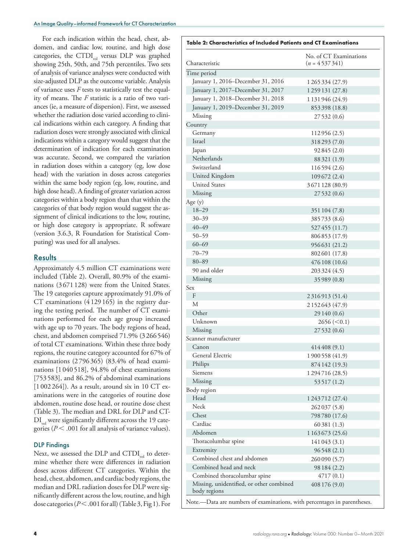For each indication within the head, chest, abdomen, and cardiac low, routine, and high dose categories, the CTDI $_{vol}$  versus DLP was graphed showing 25th, 50th, and 75th percentiles. Two sets of analysis of variance analyses were conducted with size-adjusted DLP as the outcome variable. Analysis of variance uses *F* tests to statistically test the equality of means. The *F* statistic is a ratio of two variances (ie, a measure of dispersion). First, we assessed whether the radiation dose varied according to clinical indications within each category. A finding that radiation doses were strongly associated with clinical indications within a category would suggest that the determination of indication for each examination was accurate. Second, we compared the variation in radiation doses within a category (eg, low dose head) with the variation in doses across categories within the same body region (eg, low, routine, and high dose head). A finding of greater variation across categories within a body region than that within the categories of that body region would suggest the assignment of clinical indications to the low, routine, or high dose category is appropriate. R software (version 3.6.3, R Foundation for Statistical Computing) was used for all analyses.

#### **Results**

Approximately 4.5 million CT examinations were included (Table 2). Overall, 80.9% of the examinations (3671128) were from the United States. The 19 categories capture approximately 91.0% of CT examinations (4129 165) in the registry during the testing period. The number of CT examinations performed for each age group increased with age up to 70 years. The body regions of head, chest, and abdomen comprised 71.9% (3266 546) of total CT examinations. Within these three body regions, the routine category accounted for 67% of examinations (2796 365) (83.4% of head examinations [1040 518], 94.8% of chest examinations [753 583], and 86.2% of abdominal examinations [1 002 264]). As a result, around six in 10 CT examinations were in the categories of routine dose abdomen, routine dose head, or routine dose chest (Table 3). The median and DRL for DLP and CT- $DI_{vol}$  were significantly different across the 19 categories ( $P < .001$  for all analysis of variance values).

#### DLP Findings

Next, we assessed the DLP and  $CTDI_{vol}$  to determine whether there were differences in radiation doses across different CT categories. Within the head, chest, abdomen, and cardiac body regions, the median and DRL radiation doses for DLP were significantly different across the low, routine, and high dose categories ( $P < .001$  for all) (Table 3, Fig 1). For

| Table 2: Characteristics of Included Patients and CT Examinations         |                                           |  |  |  |  |  |
|---------------------------------------------------------------------------|-------------------------------------------|--|--|--|--|--|
| Characteristic                                                            | No. of CT Examinations<br>$(n = 4537341)$ |  |  |  |  |  |
|                                                                           |                                           |  |  |  |  |  |
| Time period<br>January 1, 2016–December 31, 2016                          | 1 265 334 (27.9)                          |  |  |  |  |  |
| January 1, 2017-December 31, 2017                                         |                                           |  |  |  |  |  |
|                                                                           | 1259131 (27.8)                            |  |  |  |  |  |
| January 1, 2018–December 31, 2018                                         | 1 131 946 (24.9)                          |  |  |  |  |  |
| January 1, 2019–December 31, 2019<br>Missing                              | 853398 (18.8)                             |  |  |  |  |  |
| Country                                                                   | 27 532 (0.6)                              |  |  |  |  |  |
| Germany                                                                   |                                           |  |  |  |  |  |
| Israel                                                                    | 112956 (2.5)<br>318293 (7.0)              |  |  |  |  |  |
| Japan                                                                     | 92845(2.0)                                |  |  |  |  |  |
| Netherlands                                                               |                                           |  |  |  |  |  |
| Switzerland                                                               | 88 321 (1.9)                              |  |  |  |  |  |
| United Kingdom                                                            | 116594 (2.6)                              |  |  |  |  |  |
| <b>United States</b>                                                      | 109 672 (2.4)                             |  |  |  |  |  |
| Missing                                                                   | 3671128 (80.9)                            |  |  |  |  |  |
|                                                                           | 27 532 (0.6)                              |  |  |  |  |  |
| Age $(y)$<br>$18 - 29$                                                    |                                           |  |  |  |  |  |
| $30 - 39$                                                                 | 351 104 (7.8)                             |  |  |  |  |  |
| $40 - 49$                                                                 | 385733 (8.6)                              |  |  |  |  |  |
| $50 - 59$                                                                 | 527455 (11.7)                             |  |  |  |  |  |
| $60 - 69$                                                                 | 806853 (17.9)                             |  |  |  |  |  |
| $70 - 79$                                                                 | 956631 (21.2)                             |  |  |  |  |  |
|                                                                           | 802601 (17.8)                             |  |  |  |  |  |
| $80 - 89$                                                                 | 476 108 (10.6)                            |  |  |  |  |  |
| 90 and older                                                              | 203 324 (4.5)                             |  |  |  |  |  |
| Missing                                                                   | 35 989 (0.8)                              |  |  |  |  |  |
| Sex<br>F                                                                  |                                           |  |  |  |  |  |
| M                                                                         | 2316913 (51.4)                            |  |  |  |  |  |
| Other                                                                     | 2 1 5 2 6 4 3 (4 7 . 9)                   |  |  |  |  |  |
| Unknown                                                                   | 29 140 (0.6)                              |  |  |  |  |  |
|                                                                           | 2656 (< 0.1)                              |  |  |  |  |  |
| Missing<br>Scanner manufacturer                                           | 27 532 (0.6)                              |  |  |  |  |  |
| Canon                                                                     |                                           |  |  |  |  |  |
| General Electric                                                          | 414408(9.1)                               |  |  |  |  |  |
|                                                                           | 1900558 (41.9)                            |  |  |  |  |  |
| Philips<br>Siemens                                                        | 874 142 (19.3)                            |  |  |  |  |  |
|                                                                           | 1294716 (28.5)                            |  |  |  |  |  |
| Missing                                                                   | 53 517 (1.2)                              |  |  |  |  |  |
| Body region<br>Head                                                       |                                           |  |  |  |  |  |
| Neck                                                                      | 1 2 4 3 7 1 2 ( 2 7 . 4 )                 |  |  |  |  |  |
| Chest                                                                     | 262037 (5.8)                              |  |  |  |  |  |
| Cardiac                                                                   | 798780 (17.6)                             |  |  |  |  |  |
| Abdomen                                                                   | 60381 (1.3)                               |  |  |  |  |  |
|                                                                           | 1 1 63 6 73 (25.6)                        |  |  |  |  |  |
| Thoracolumbar spine                                                       | 141043 (3.1)                              |  |  |  |  |  |
| Extremity<br>Combined chest and abdomen                                   | 96548 (2.1)                               |  |  |  |  |  |
| Combined head and neck                                                    | 260 090 (5.7)                             |  |  |  |  |  |
|                                                                           | 98 184 (2.2)                              |  |  |  |  |  |
| Combined thoracolumbar spine                                              | 4717(0.1)                                 |  |  |  |  |  |
| Missing, unidentified, or other combined<br>body regions                  | 408 176 (9.0)                             |  |  |  |  |  |
| Note.- Data are numbers of examinations, with percentages in parentheses. |                                           |  |  |  |  |  |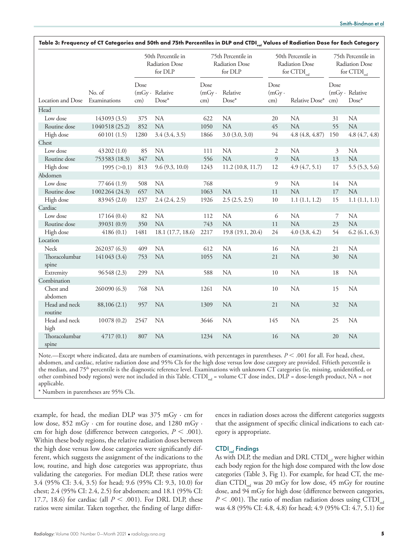|                                |                |                                                 |                            |                                                 |                      | Table 3: Frequency of CT Categories and 50th and 75th Percentiles in DLP and CTDI <sub>vel</sub> Values of Radiation Dose for Each Category |                    |                                                                   |                                    |  |
|--------------------------------|----------------|-------------------------------------------------|----------------------------|-------------------------------------------------|----------------------|---------------------------------------------------------------------------------------------------------------------------------------------|--------------------|-------------------------------------------------------------------|------------------------------------|--|
|                                |                | 50th Percentile in<br>Radiation Dose<br>for DLP |                            | 75th Percentile in<br>Radiation Dose<br>for DLP |                      | 50th Percentile in<br>Radiation Dose<br>for $CTDI$ <sub>vol</sub>                                                                           |                    | 75th Percentile in<br>Radiation Dose<br>for $CTDI$ <sub>vol</sub> |                                    |  |
| Location and Dose Examinations | No. of         | Dose<br>cm)                                     | (mGy · Relative<br>$Dose*$ | Dose<br>$(mGy \cdot$<br>cm)                     | Relative<br>$Dose^*$ | Dose<br>$(mGy \cdot$<br>cm)                                                                                                                 | Relative Dose* cm) | Dose                                                              | $(mGy \cdot Relative)$<br>$Dose^*$ |  |
| Head                           |                |                                                 |                            |                                                 |                      |                                                                                                                                             |                    |                                                                   |                                    |  |
| Low dose                       | 143093 (3.5)   | 375                                             | <b>NA</b>                  | 622                                             | <b>NA</b>            | 20                                                                                                                                          | <b>NA</b>          | 31                                                                | <b>NA</b>                          |  |
| Routine dose                   | 1040518 (25.2) | 852                                             | <b>NA</b>                  | 1050                                            | <b>NA</b>            | 45                                                                                                                                          | NA                 | 55                                                                | <b>NA</b>                          |  |
| High dose                      | 60101(1.5)     | 1280                                            | 3.4(3.4, 3.5)              | 1866                                            | 3.0(3.0, 3.0)        | 94                                                                                                                                          | 4.8(4.8, 4.87)     | 150                                                               | 4.8(4.7, 4.8)                      |  |
| Chest                          |                |                                                 |                            |                                                 |                      |                                                                                                                                             |                    |                                                                   |                                    |  |
| Low dose                       | 43202(1.0)     | 85                                              | <b>NA</b>                  | 111                                             | <b>NA</b>            | 2                                                                                                                                           | <b>NA</b>          | 3                                                                 | <b>NA</b>                          |  |
| Routine dose                   | 753583 (18.3)  | 347                                             | NA                         | 556                                             | NA                   | 9                                                                                                                                           | <b>NA</b>          | 13                                                                | NA                                 |  |
| High dose                      | 1995 (>0.1)    | 813                                             | 9.6(9.3, 10.0)             | 1243                                            | 11.2(10.8, 11.7)     | 12                                                                                                                                          | 4.9(4.7, 5.1)      | 17                                                                | 5.5(5.3, 5.6)                      |  |
| Abdomen                        |                |                                                 |                            |                                                 |                      |                                                                                                                                             |                    |                                                                   |                                    |  |
| Low dose                       | 77464 (1.9)    | 508                                             | <b>NA</b>                  | 768                                             |                      | 9                                                                                                                                           | <b>NA</b>          | 14                                                                | <b>NA</b>                          |  |
| Routine dose                   | 1002264 (24.3) | 657                                             | NA                         | 1063                                            | <b>NA</b>            | 11                                                                                                                                          | <b>NA</b>          | 17                                                                | NA                                 |  |
| High dose                      | 83945 (2.0)    | 1237                                            | 2.4(2.4, 2.5)              | 1926                                            | 2.5(2.5, 2.5)        | 10                                                                                                                                          | 1.1(1.1, 1.2)      | 15                                                                | 1.1(1.1, 1.1)                      |  |
| Cardiac                        |                |                                                 |                            |                                                 |                      |                                                                                                                                             |                    |                                                                   |                                    |  |
| Low dose                       | 17164 (0.4)    | 82                                              | <b>NA</b>                  | 112                                             | NA                   | 6                                                                                                                                           | <b>NA</b>          | 7                                                                 | NA                                 |  |
| Routine dose                   | 39031 (0.9)    | 350                                             | NA                         | 743                                             | NA                   | 11                                                                                                                                          | <b>NA</b>          | 23                                                                | NA                                 |  |
| High dose                      | 4186(0.1)      | 1481                                            | 18.1 (17.7, 18.6)          | 2217                                            | 19.8 (19.1, 20.4)    | 24                                                                                                                                          | 4.0(3.8, 4.2)      | 54                                                                | 6.2(6.1, 6.3)                      |  |
| Location                       |                |                                                 |                            |                                                 |                      |                                                                                                                                             |                    |                                                                   |                                    |  |
| <b>Neck</b>                    | 262037 (6.3)   | 409                                             | NA                         | 612                                             | NA                   | 16                                                                                                                                          | NA                 | 21                                                                | <b>NA</b>                          |  |
| Thoracolumbar                  | 141043 (3.4)   | 753                                             | <b>NA</b>                  | 1055                                            | NA                   | 21                                                                                                                                          | <b>NA</b>          | 30                                                                | <b>NA</b>                          |  |
| spine                          |                |                                                 |                            |                                                 |                      |                                                                                                                                             |                    |                                                                   |                                    |  |
| Extremity                      | 96548(2.3)     | 299                                             | <b>NA</b>                  | 588                                             | <b>NA</b>            | 10                                                                                                                                          | <b>NA</b>          | 18                                                                | <b>NA</b>                          |  |
| Combination                    |                |                                                 |                            |                                                 |                      |                                                                                                                                             |                    |                                                                   |                                    |  |
| Chest and                      | 260090 (6.3)   | 768                                             | <b>NA</b>                  | 1261                                            | <b>NA</b>            | 10                                                                                                                                          | <b>NA</b>          | 15                                                                | <b>NA</b>                          |  |
| abdomen                        |                |                                                 |                            |                                                 |                      |                                                                                                                                             |                    |                                                                   |                                    |  |
| Head and neck<br>routine       | 88,106 (2.1)   | 957                                             | <b>NA</b>                  | 1309                                            | <b>NA</b>            | 21                                                                                                                                          | <b>NA</b>          | 32                                                                | <b>NA</b>                          |  |
| Head and neck<br>high          | 10078(0.2)     | 2547                                            | NA                         | 3646                                            | NA                   | 145                                                                                                                                         | <b>NA</b>          | 25                                                                | <b>NA</b>                          |  |
| Thoracolumbar<br>spine         | 4717(0.1)      | 807                                             | <b>NA</b>                  | 1234                                            | <b>NA</b>            | 16                                                                                                                                          | <b>NA</b>          | 20                                                                | <b>NA</b>                          |  |

Note.—Except where indicated, data are numbers of examinations, with percentages in parentheses.  $P < .001$  for all. For head, chest, abdomen, and cardiac, relative radiation dose and 95% CIs for the high dose versus low dose category are provided. Fiftieth percentile is the median, and 75th percentile is the diagnostic reference level. Examinations with unknown CT categories (ie, missing, unidentified, or other combined body regions) were not included in this Table. CTDI<sub>vol</sub> = volume CT dose index, DLP = dose-length product, NA = not applicable.

\* Numbers in parentheses are 95% CIs.

example, for head, the median DLP was  $375 \text{ mGy} \cdot \text{cm}$  for low dose, 852 mGy · cm for routine dose, and 1280 mGy · cm for high dose (difference between categories,  $P < .001$ ). Within these body regions, the relative radiation doses between the high dose versus low dose categories were significantly different, which suggests the assignment of the indications to the low, routine, and high dose categories was appropriate, thus validating the categories. For median DLP, these ratios were 3.4 (95% CI: 3.4, 3.5) for head; 9.6 (95% CI: 9.3, 10.0) for chest; 2.4 (95% CI: 2.4, 2.5) for abdomen; and 18.1 (95% CI: 17.7, 18.6) for cardiac (all  $P < .001$ ). For DRL DLP, these ratios were similar. Taken together, the finding of large differences in radiation doses across the different categories suggests that the assignment of specific clinical indications to each category is appropriate.

#### $CTDI_{vol}$  Findings

As with DLP, the median and DRL CTDI $_{\text{tot}}$  were higher within each body region for the high dose compared with the low dose categories (Table 3, Fig 1). For example, for head CT, the median CTDI<sub>vol</sub> was 20 mGy for low dose, 45 mGy for routine dose, and 94 mGy for high dose (difference between categories,  $P < .001$ ). The ratio of median radiation doses using CTDI<sub>vol</sub> was 4.8 (95% CI: 4.8, 4.8) for head; 4.9 (95% CI: 4.7, 5.1) for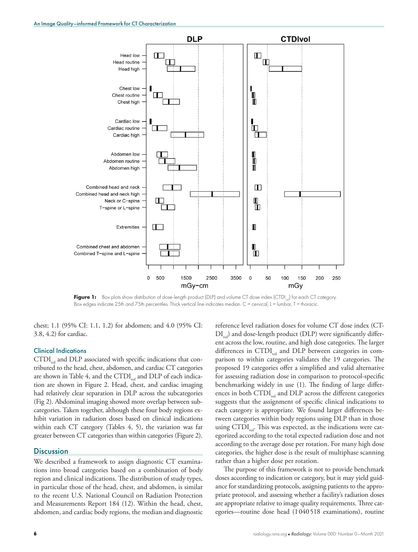

Figure 1: Box plots show distribution of dose-length product (DLP) and volume CT dose index (CTDI<sub>vo</sub>) for each CT category. Box edges indicate 25th and 75th percentiles. Thick vertical line indicates median. C = cervical, L = lumbar, T = thoracic.

chest; 1.1 (95% CI: 1.1, 1.2) for abdomen; and 4.0 (95% CI: 3.8, 4.2) for cardiac.

#### Clinical Indications

 $CTDI_{vol}$  and DLP associated with specific indications that contributed to the head, chest, abdomen, and cardiac CT categories are shown in Table 4, and the  $CTDI_{vol}$  and DLP of each indication are shown in Figure 2. Head, chest, and cardiac imaging had relatively clear separation in DLP across the subcategories (Fig 2). Abdominal imaging showed more overlap between subcategories. Taken together, although these four body regions exhibit variation in radiation doses based on clinical indications within each CT category (Tables 4, 5), the variation was far greater between CT categories than within categories (Figure 2).

#### **Discussion**

We described a framework to assign diagnostic CT examinations into broad categories based on a combination of body region and clinical indications. The distribution of study types, in particular those of the head, chest, and abdomen, is similar to the recent U.S. National Council on Radiation Protection and Measurements Report 184 (12). Within the head, chest, abdomen, and cardiac body regions, the median and diagnostic

reference level radiation doses for volume CT dose index (CT- $\text{DI}_{\text{out}}$ ) and dose-length product (DLP) were significantly different across the low, routine, and high dose categories. The larger differences in  $CTDI_{vol}$  and DLP between categories in comparison to within categories validates the 19 categories. The proposed 19 categories offer a simplified and valid alternative for assessing radiation dose in comparison to protocol-specific benchmarking widely in use (1). The finding of large differences in both  $CTDI_{vol}$  and DLP across the different categories suggests that the assignment of specific clinical indications to each category is appropriate. We found larger differences between categories within body regions using DLP than in those using  $CTDI_{vol}$ . This was expected, as the indications were categorized according to the total expected radiation dose and not according to the average dose per rotation. For many high dose categories, the higher dose is the result of multiphase scanning rather than a higher dose per rotation.

The purpose of this framework is not to provide benchmark doses according to indication or category, but it may yield guidance for standardizing protocols, assigning patients to the appropriate protocol, and assessing whether a facility's radiation doses are appropriate relative to image quality requirements. Three categories—routine dose head (1040518 examinations), routine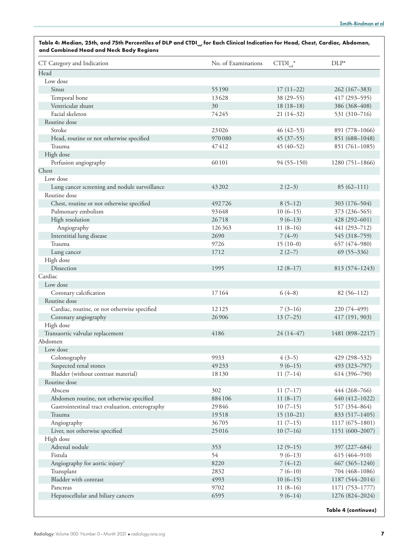| CT Category and Indication                                | No. of Examinations | $\text{CTDI}_{\text{vol}}^*$ | $DLP^*$                            |
|-----------------------------------------------------------|---------------------|------------------------------|------------------------------------|
| Head                                                      |                     |                              |                                    |
| Low dose                                                  |                     |                              |                                    |
| Sinus                                                     | 55190               | $17(11-22)$                  | 262 (167-383)                      |
| Temporal bone                                             | 13628               | 38 (29-55)                   | 417 (293-595)                      |
| Ventricular shunt                                         | 30                  | $18(18-18)$                  | 386 (368-408)                      |
| Facial skeleton                                           | 74245               | $21(14-32)$                  | 531 (310-716)                      |
| Routine dose                                              |                     |                              |                                    |
| Stroke                                                    | 23026               | $46(42 - 53)$                | 891 (778-1066)                     |
| Head, routine or not otherwise specified                  | 970080              | $45(37-55)$                  | 851 (688-1048)                     |
| Trauma                                                    | 47412               | $45(40-52)$                  | 851 (761-1085)                     |
| High dose                                                 |                     |                              |                                    |
| Perfusion angiography                                     | 60101               | $94(55-150)$                 | 1280 (751-1866)                    |
| Chest                                                     |                     |                              |                                    |
| Low dose                                                  |                     |                              |                                    |
| Lung cancer screening and nodule surveillance             | 43202               | $2(2-3)$                     | $85(62 - 111)$                     |
| Routine dose                                              |                     |                              |                                    |
| Chest, routine or not otherwise specified                 | 492726              | $8(5-12)$                    | 303 (176-504)                      |
| Pulmonary embolism                                        | 93648               | $10(6-15)$                   | 373 (236-565)                      |
| High resolution                                           | 26718               | $9(6-13)$                    | 428 (292-601)                      |
| Angiography                                               | 126363              | $11(8-16)$                   | 441 (293-712)                      |
| Interstitial lung disease                                 | 2690                | $7(4-9)$                     | 545 (318-759)                      |
| Trauma                                                    | 9726                | $15(10-0)$                   | 657 (474-980)                      |
| Lung cancer                                               | 1712                | $2(2-7)$                     | $69(55 - 336)$                     |
| High dose                                                 |                     |                              |                                    |
| Dissection                                                | 1995                | $12(8-17)$                   | 813 (574–1243)                     |
| Cardiac                                                   |                     |                              |                                    |
| Low dose                                                  |                     |                              |                                    |
| Coronary calcification                                    | 17164               | $6(4-8)$                     | 82 (56-112)                        |
| Routine dose                                              |                     |                              |                                    |
| Cardiac, routine, or not otherwise specified              | 12125               | $7(3-16)$                    | 220 (74-499)                       |
| Coronary angiography                                      | 26906               | $13(7-25)$                   | 417 (191, 903)                     |
| High dose                                                 |                     |                              |                                    |
| Transaortic valvular replacement                          | 4186                | $24(14-47)$                  | 1481 (898-2217)                    |
| Abdomen                                                   |                     |                              |                                    |
| Low dose                                                  |                     |                              |                                    |
|                                                           | 9933                | $4(3-5)$                     | 429 (298-532)                      |
| Colonography<br>Suspected renal stones                    | 49233               | $9(6-15)$                    | 493 (323-797)                      |
| Bladder (without contrast material)                       | 18130               | $11(7-14)$                   | 614 (396-790)                      |
| Routine dose                                              |                     |                              |                                    |
| Abscess                                                   | 302                 | $11(7-17)$                   | 444 (268-766)                      |
|                                                           | 884106              | $11(8-17)$                   |                                    |
| Abdomen routine, not otherwise specified                  | 29846               | $10(7-15)$                   | 640 (412-1022)<br>517 (354-864)    |
| Gastrointestinal tract evaluation, enterography<br>Trauma | 19518               | $15(10-21)$                  |                                    |
|                                                           |                     |                              | 833 (517-1405)                     |
| Angiography                                               | 36705               | $11(7-15)$                   | $1117(675 - 1801)$                 |
| Liver, not otherwise specified                            | 25016               | $10(7-16)$                   | 1151 (600-2007)                    |
| High dose                                                 |                     |                              |                                    |
| Adrenal nodule                                            | 353                 | $12(9-15)$                   | 397 (227-684)                      |
| Fistula                                                   | 54                  | $9(6-13)$                    | 615 (464-910)                      |
| Angiography for aortic injury <sup>†</sup>                | 8220                | $7(4-12)$                    | $667(365 - 1240)$                  |
| Transplant                                                | 2832                | $7(6-10)$                    | 704 (468-1086)                     |
| Bladder with contrast                                     | 4993                | $10(6-15)$                   | 1187 (544-2014)                    |
| Pancreas<br>Hepatocellular and biliary cancers            | 9702<br>6595        | $11(8-16)$<br>$9(6-14)$      | 1171 (753–1777)<br>1276 (824-2024) |
|                                                           |                     |                              |                                    |

Table 4: Median, 25th, and 75th Percentiles of DLP and CTDI<sub>ver</sub> for Each Clinical Indication for Head, Chest, Cardiac, Abdomen,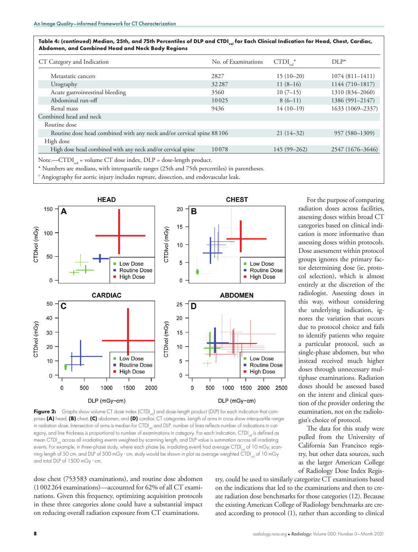| CT Category and Indication                                            | No. of Examinations | $\text{CTDI}_{\text{vol}}^*$ | $DI.P*$            |  |
|-----------------------------------------------------------------------|---------------------|------------------------------|--------------------|--|
| Metastatic cancers                                                    | 2827                | $15(10-20)$                  | $1074(811 - 1411)$ |  |
| Urography                                                             | 32287               | $11(8-16)$                   | 1144 (710-1817)    |  |
| Acute gastrointestinal bleeding                                       | 3560                | $10(7-15)$                   | 1310 (834-2060)    |  |
| Abdominal run-off                                                     | 10025               | $8(6-11)$                    | 1386 (991-2147)    |  |
| Renal mass                                                            | 9436                | $14(10-19)$                  | 1633 (1069-2337)   |  |
| Combined head and neck                                                |                     |                              |                    |  |
| Routine dose                                                          |                     |                              |                    |  |
| Routine dose head combined with any neck and/or cervical spine 88 106 |                     | $21(14-32)$                  | 957 (580-1309)     |  |
| High dose                                                             |                     |                              |                    |  |
| High dose head combined with any neck and/or cervical spine           | 10078               | $145(99 - 262)$              | 2547 (1676–3646)   |  |

Note.—CTDI<sub>vol</sub> = volume CT dose index, DLP = dose-length product.

\* Numbers are medians, with interquartile ranges (25th and 75th percentiles) in parentheses.

† Angiography for aortic injury includes rupture, dissection, and endovascular leak.



Figure 2: Graphs show volume CT dose index (CTDI<sub>val</sub>) and dose-length product (DLP) for each indication that comprises **(A)** head, **(B)** chest, **(C)** abdomen, and **(D)** cardiac CT categories. Length of arms in cross show interquartile range in radiation dose. Intersection of arms is median for CTDI<sub>vol</sub> and DLP, number of lines reflects number of indications in category, and line thickness is proportional to number of examinations in category. For each indication, CTDI is defined as mean CTDI<sub>val</sub> across all irradiating events weighted by scanning length, and DLP value is summation across all irradiating events. For example, in three-phase study, where each phase (ie, irradiating event) had average CTDI<sub>ver</sub> of 10 mGy, scanning length of 50 cm, and DLP of 500 mGy · cm, study would be shown in plot as average weighted CTDI<sub>val</sub> of 10 mGy and total DLP of 1500 mGy · cm.

dose chest (753583 examinations), and routine dose abdomen (1002264 examinations)—accounted for 62% of all CT examinations. Given this frequency, optimizing acquisition protocols in these three categories alone could have a substantial impact on reducing overall radiation exposure from CT examinations.

For the purpose of comparing radiation doses across facilities, assessing doses within broad CT categories based on clinical indication is more informative than assessing doses within protocols. Dose assessment within protocol groups ignores the primary factor determining dose (ie, protocol selection), which is almost entirely at the discretion of the radiologist. Assessing doses in this way, without considering the underlying indication, ignores the variation that occurs due to protocol choice and fails to identify patients who require a particular protocol, such as single-phase abdomen, but who instead received much higher doses through unnecessary multiphase examinations. Radiation doses should be assessed based on the intent and clinical question of the provider ordering the examination, not on the radiologist's choice of protocol.

The data for this study were pulled from the University of California San Francisco registry, but other data sources, such as the larger American College of Radiology Dose Index Regis-

try, could be used to similarly categorize CT examinations based on the indications that led to the examinations and then to create radiation dose benchmarks for those categories (12). Because the existing American College of Radiology benchmarks are created according to protocol (1), rather than according to clinical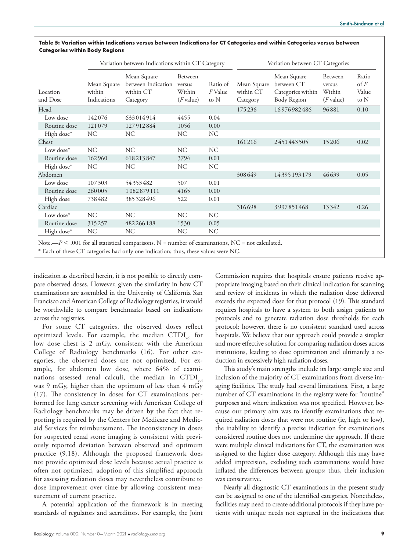|                      |                                      | Variation between Indications within CT Category           | Variation between CT Categories            |                             |                                      |                                                               |                                            |                                         |
|----------------------|--------------------------------------|------------------------------------------------------------|--------------------------------------------|-----------------------------|--------------------------------------|---------------------------------------------------------------|--------------------------------------------|-----------------------------------------|
| Location<br>and Dose | Mean Square<br>within<br>Indications | Mean Square<br>between Indication<br>within CT<br>Category | Between<br>versus<br>Within<br>$(F$ value) | Ratio of<br>F Value<br>to N | Mean Square<br>within CT<br>Category | Mean Square<br>between CT<br>Categories within<br>Body Region | Between<br>versus<br>Within<br>$(F$ value) | Ratio<br>$\circ$ f $F$<br>Value<br>to N |
| Head                 |                                      |                                                            |                                            |                             | 175236                               | 16976982486                                                   | 96881                                      | 0.10                                    |
| Low dose             | 142076                               | 633014914                                                  | 4455                                       | 0.04                        |                                      |                                                               |                                            |                                         |
| Routine dose         | 121079                               | 127912884                                                  | 1056                                       | 0.00                        |                                      |                                                               |                                            |                                         |
| High dose*           | NC                                   | NC.                                                        | NC.                                        | <b>NC</b>                   |                                      |                                                               |                                            |                                         |
| Chest                |                                      |                                                            |                                            |                             | 161216                               | 2451443505                                                    | 15206                                      | 0.02                                    |
| Low dose*            | NC                                   | NC                                                         | NC                                         | NC                          |                                      |                                                               |                                            |                                         |
| Routine dose         | 162960                               | 618213847                                                  | 3794                                       | 0.01                        |                                      |                                                               |                                            |                                         |
| High dose*           | NC                                   | <b>NC</b>                                                  | NC                                         | NC                          |                                      |                                                               |                                            |                                         |
| Abdomen              |                                      |                                                            |                                            |                             | 308649                               | 14395193179                                                   | 46639                                      | 0.05                                    |
| Low dose             | 107303                               | 54353482                                                   | 507                                        | 0.01                        |                                      |                                                               |                                            |                                         |
| Routine dose         | 260005                               | 1082879111                                                 | 4165                                       | 0.00                        |                                      |                                                               |                                            |                                         |
| High dose            | 738482                               | 385328496                                                  | 522                                        | 0.01                        |                                      |                                                               |                                            |                                         |
| Cardiac              |                                      |                                                            |                                            |                             | 316698                               | 3997851468                                                    | 13342                                      | 0.26                                    |
| Low dose*            | NC                                   | NC.                                                        | NC.                                        | <b>NC</b>                   |                                      |                                                               |                                            |                                         |
| Routine dose         | 315257                               | 482266188                                                  | 1530                                       | 0.05                        |                                      |                                                               |                                            |                                         |
| High dose*           | NC.                                  | <b>NC</b>                                                  | NC                                         | <b>NC</b>                   |                                      |                                                               |                                            |                                         |

**Table 5: Variation within Indications versus between Indications for CT Categories and within Categories versus between Categories within Body Regions**

Note.— $P < .001$  for all statistical comparisons. N = number of examinations, NC = not calculated.

\* Each of these CT categories had only one indication; thus, these values were NC.

indication as described herein, it is not possible to directly compare observed doses. However, given the similarity in how CT examinations are assembled in the University of California San Francisco and American College of Radiology registries, it would be worthwhile to compare benchmarks based on indications across the registries.

For some CT categories, the observed doses reflect optimized levels. For example, the median  $\text{CTDI}_{\text{vol}}$  for low dose chest is 2 mGy, consistent with the American College of Radiology benchmarks (16). For other categories, the observed doses are not optimized. For example, for abdomen low dose, where 64% of examinations assessed renal calculi, the median in  $\text{CTDI}_{\text{vol}}$ was 9 mGy, higher than the optimum of less than 4 mGy (17). The consistency in doses for CT examinations performed for lung cancer screening with American College of Radiology benchmarks may be driven by the fact that reporting is required by the Centers for Medicare and Medicaid Services for reimbursement. The inconsistency in doses for suspected renal stone imaging is consistent with previously reported deviation between observed and optimum practice (9,18). Although the proposed framework does not provide optimized dose levels because actual practice is often not optimized, adoption of this simplified approach for assessing radiation doses may nevertheless contribute to dose improvement over time by allowing consistent measurement of current practice.

A potential application of the framework is in meeting standards of regulators and accreditors. For example, the Joint

Commission requires that hospitals ensure patients receive appropriate imaging based on their clinical indication for scanning and review of incidents in which the radiation dose delivered exceeds the expected dose for that protocol (19). This standard requires hospitals to have a system to both assign patients to protocols and to generate radiation dose thresholds for each protocol; however, there is no consistent standard used across hospitals. We believe that our approach could provide a simpler and more effective solution for comparing radiation doses across institutions, leading to dose optimization and ultimately a reduction in excessively high radiation doses.

This study's main strengths include its large sample size and inclusion of the majority of CT examinations from diverse imaging facilities. The study had several limitations. First, a large number of CT examinations in the registry were for "routine" purposes and where indication was not specified. However, because our primary aim was to identify examinations that required radiation doses that were not routine (ie, high or low), the inability to identify a precise indication for examinations considered routine does not undermine the approach. If there were multiple clinical indications for CT, the examination was assigned to the higher dose category. Although this may have added imprecision, excluding such examinations would have inflated the differences between groups; thus, their inclusion was conservative.

Nearly all diagnostic CT examinations in the present study can be assigned to one of the identified categories. Nonetheless, facilities may need to create additional protocols if they have patients with unique needs not captured in the indications that